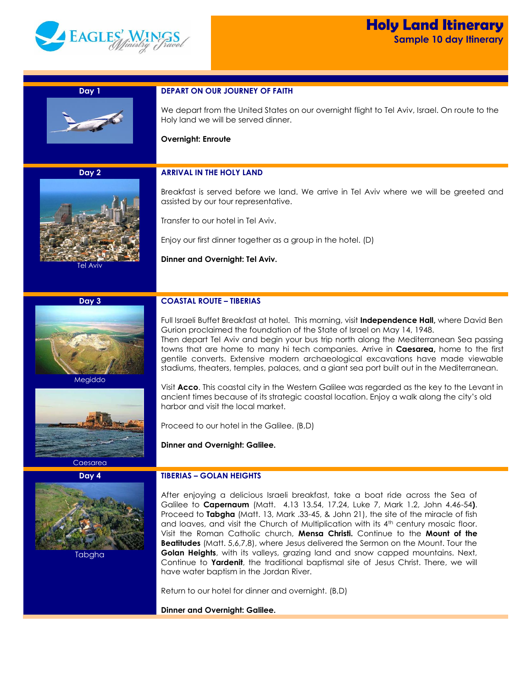

i<br>Li

| Day 1    | <b>DEPART ON OUR JOURNEY OF FAITH</b>                                                                                                                                                                                                                                                                                                                                                                                                                                                                                                                                                                                                                                                                                                                                |
|----------|----------------------------------------------------------------------------------------------------------------------------------------------------------------------------------------------------------------------------------------------------------------------------------------------------------------------------------------------------------------------------------------------------------------------------------------------------------------------------------------------------------------------------------------------------------------------------------------------------------------------------------------------------------------------------------------------------------------------------------------------------------------------|
|          | We depart from the United States on our overnight flight to Tel Aviv, Israel. On route to the<br>Holy land we will be served dinner.                                                                                                                                                                                                                                                                                                                                                                                                                                                                                                                                                                                                                                 |
|          | <b>Overnight: Enroute</b>                                                                                                                                                                                                                                                                                                                                                                                                                                                                                                                                                                                                                                                                                                                                            |
|          |                                                                                                                                                                                                                                                                                                                                                                                                                                                                                                                                                                                                                                                                                                                                                                      |
| Day 2    | <b>ARRIVAL IN THE HOLY LAND</b>                                                                                                                                                                                                                                                                                                                                                                                                                                                                                                                                                                                                                                                                                                                                      |
|          | Breakfast is served before we land. We arrive in Tel Aviv where we will be greeted and<br>assisted by our tour representative.                                                                                                                                                                                                                                                                                                                                                                                                                                                                                                                                                                                                                                       |
|          | Transfer to our hotel in Tel Aviv.                                                                                                                                                                                                                                                                                                                                                                                                                                                                                                                                                                                                                                                                                                                                   |
|          | Enjoy our first dinner together as a group in the hotel. (D)                                                                                                                                                                                                                                                                                                                                                                                                                                                                                                                                                                                                                                                                                                         |
|          | Dinner and Overnight: Tel Aviv.                                                                                                                                                                                                                                                                                                                                                                                                                                                                                                                                                                                                                                                                                                                                      |
| Tel Aviv |                                                                                                                                                                                                                                                                                                                                                                                                                                                                                                                                                                                                                                                                                                                                                                      |
|          |                                                                                                                                                                                                                                                                                                                                                                                                                                                                                                                                                                                                                                                                                                                                                                      |
| Day 3    | <b>COASTAL ROUTE - TIBERIAS</b>                                                                                                                                                                                                                                                                                                                                                                                                                                                                                                                                                                                                                                                                                                                                      |
|          | Full Israeli Buffet Breakfast at hotel. This morning, visit Independence Hall, where David Ben                                                                                                                                                                                                                                                                                                                                                                                                                                                                                                                                                                                                                                                                       |
|          | Gurion proclaimed the foundation of the State of Israel on May 14, 1948.<br>Then depart Tel Aviv and begin your bus trip north along the Mediterranean Sea passing                                                                                                                                                                                                                                                                                                                                                                                                                                                                                                                                                                                                   |
|          | towns that are home to many hi tech companies. Arrive in Caesarea, home to the first                                                                                                                                                                                                                                                                                                                                                                                                                                                                                                                                                                                                                                                                                 |
|          | gentile converts. Extensive modern archaeological excavations have made viewable<br>stadiums, theaters, temples, palaces, and a giant sea port built out in the Mediterranean.                                                                                                                                                                                                                                                                                                                                                                                                                                                                                                                                                                                       |
| Megiddo  | Visit Acco. This coastal city in the Western Galilee was regarded as the key to the Levant in                                                                                                                                                                                                                                                                                                                                                                                                                                                                                                                                                                                                                                                                        |
|          | ancient times because of its strategic coastal location. Enjoy a walk along the city's old<br>harbor and visit the local market.                                                                                                                                                                                                                                                                                                                                                                                                                                                                                                                                                                                                                                     |
|          | Proceed to our hotel in the Galilee. (B,D)                                                                                                                                                                                                                                                                                                                                                                                                                                                                                                                                                                                                                                                                                                                           |
|          |                                                                                                                                                                                                                                                                                                                                                                                                                                                                                                                                                                                                                                                                                                                                                                      |
|          | Dinner and Overnight: Galilee.                                                                                                                                                                                                                                                                                                                                                                                                                                                                                                                                                                                                                                                                                                                                       |
| Caesarea |                                                                                                                                                                                                                                                                                                                                                                                                                                                                                                                                                                                                                                                                                                                                                                      |
| Day 4    | <b>TIBERIAS - GOLAN HEIGHTS</b>                                                                                                                                                                                                                                                                                                                                                                                                                                                                                                                                                                                                                                                                                                                                      |
| Tabgha   | After enjoying a delicious Israeli breakfast, take a boat ride across the Sea of<br>Galilee to Capernaum (Matt. 4.13 13.54, 17.24, Luke 7, Mark 1.2, John 4.46-54).<br>Proceed to Tabgha (Matt. 13, Mark .33-45, & John 21), the site of the miracle of fish<br>and loaves, and visit the Church of Multiplication with its 4 <sup>th</sup> century mosaic floor.<br>Visit the Roman Catholic church, Mensa Christi. Continue to the Mount of the<br><b>Beatitudes</b> (Matt. 5,6,7,8), where Jesus delivered the Sermon on the Mount. Tour the<br>Golan Heights, with its valleys, grazing land and snow capped mountains. Next,<br>Continue to Yardenit, the traditional baptismal site of Jesus Christ. There, we will<br>have water baptism in the Jordan River. |
|          | Return to our hotel for dinner and overnight. (B,D)                                                                                                                                                                                                                                                                                                                                                                                                                                                                                                                                                                                                                                                                                                                  |
|          | Dinner and Overnight: Galilee.                                                                                                                                                                                                                                                                                                                                                                                                                                                                                                                                                                                                                                                                                                                                       |
|          |                                                                                                                                                                                                                                                                                                                                                                                                                                                                                                                                                                                                                                                                                                                                                                      |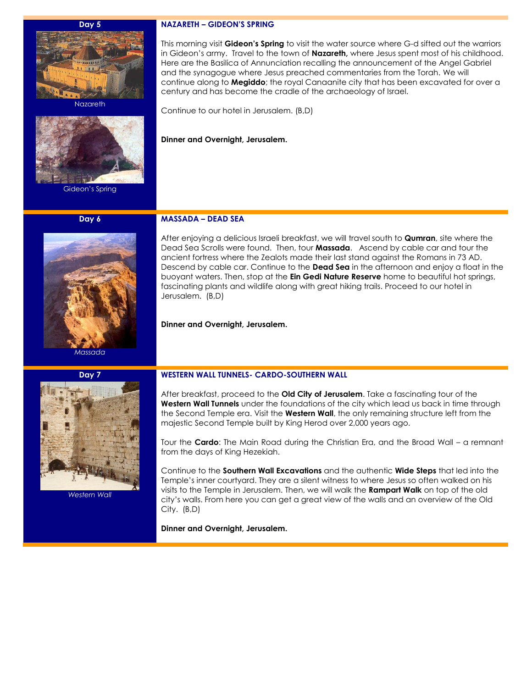#### **Day 5**



**Nazareth** 



Gideon's Spring

## **Day 6**



*Massada*



This morning visit **Gideon's Spring** to visit the water source where G-d sifted out the warriors in Gideon's army. Travel to the town of **Nazareth,** where Jesus spent most of his childhood. Here are the Basilica of Annunciation recalling the announcement of the Angel Gabriel and the synagogue where Jesus preached commentaries from the Torah. We will continue along to **Megiddo**; the royal Canaanite city that has been excavated for over a century and has become the cradle of the archaeology of Israel.

Continue to our hotel in Jerusalem. (B,D)

### **Dinner and Overnight, Jerusalem.**

## **MASSADA – DEAD SEA**

After enjoying a delicious Israeli breakfast, we will travel south to **Qumran**, site where the Dead Sea Scrolls were found. Then, tour **Massada**. Ascend by cable car and tour the ancient fortress where the Zealots made their last stand against the Romans in 73 AD. Descend by cable car. Continue to the **Dead Sea** in the afternoon and enjoy a float in the buoyant waters. Then, stop at the **Ein Gedi Nature Reserve** home to beautiful hot springs, fascinating plants and wildlife along with great hiking trails. Proceed to our hotel in Jerusalem. (B,D)

**Dinner and Overnight, Jerusalem.**



*Western Wall*

# **WESTERN WALL TUNNELS- CARDO-SOUTHERN WALL**

After breakfast, proceed to the **Old City of Jerusalem**. Take a fascinating tour of the **Western Wall Tunnels** under the foundations of the city which lead us back in time through the Second Temple era. Visit the **Western Wall**, the only remaining structure left from the majestic Second Temple built by King Herod over 2,000 years ago.

Tour the **Cardo**: The Main Road during the Christian Era, and the Broad Wall – a remnant from the days of King Hezekiah.

Continue to the **Southern Wall Excavations** and the authentic **Wide Steps** that led into the Temple's inner courtyard. They are a silent witness to where Jesus so often walked on his visits to the Temple in Jerusalem. Then, we will walk the **Rampart Walk** on top of the old city's walls. From here you can get a great view of the walls and an overview of the Old City. (B,D)

**Dinner and Overnight, Jerusalem.**